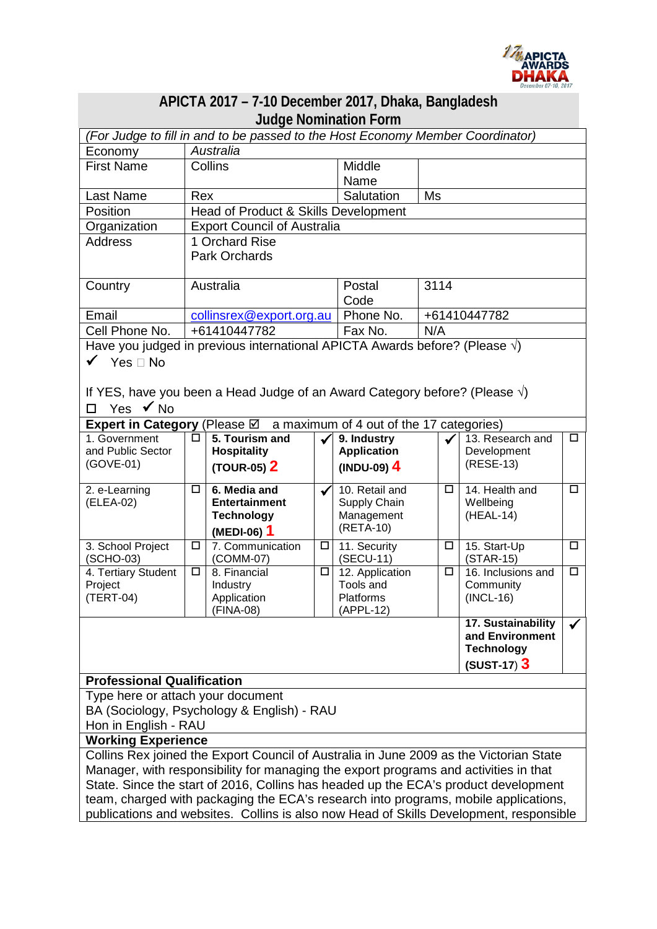

| APICTA 2017 - 7-10 December 2017, Dhaka, Bangladesh                                    |                                                      |                           |        |                              |        |                                       |              |  |
|----------------------------------------------------------------------------------------|------------------------------------------------------|---------------------------|--------|------------------------------|--------|---------------------------------------|--------------|--|
| <b>Judge Nomination Form</b>                                                           |                                                      |                           |        |                              |        |                                       |              |  |
| (For Judge to fill in and to be passed to the Host Economy Member Coordinator)         |                                                      |                           |        |                              |        |                                       |              |  |
| Economy                                                                                | Australia                                            |                           |        |                              |        |                                       |              |  |
| <b>First Name</b>                                                                      |                                                      | Collins                   |        | Middle                       |        |                                       |              |  |
|                                                                                        |                                                      |                           |        | Name                         |        |                                       |              |  |
| Last Name                                                                              | Salutation<br><b>Ms</b><br>Rex                       |                           |        |                              |        |                                       |              |  |
| Position                                                                               | Head of Product & Skills Development                 |                           |        |                              |        |                                       |              |  |
| Organization<br><b>Address</b>                                                         | <b>Export Council of Australia</b><br>1 Orchard Rise |                           |        |                              |        |                                       |              |  |
|                                                                                        | <b>Park Orchards</b>                                 |                           |        |                              |        |                                       |              |  |
|                                                                                        |                                                      |                           |        |                              |        |                                       |              |  |
| Country                                                                                | Australia                                            |                           |        | Postal                       | 3114   |                                       |              |  |
|                                                                                        |                                                      |                           |        | Code                         |        |                                       |              |  |
| Email                                                                                  | collinsrex@export.org.au                             |                           |        | Phone No.                    |        | +61410447782                          |              |  |
| Cell Phone No.                                                                         | +61410447782                                         |                           |        | Fax No.                      | N/A    |                                       |              |  |
| Have you judged in previous international APICTA Awards before? (Please $\sqrt{ }$ )   |                                                      |                           |        |                              |        |                                       |              |  |
| $\checkmark$ Yes $\Box$ No                                                             |                                                      |                           |        |                              |        |                                       |              |  |
|                                                                                        |                                                      |                           |        |                              |        |                                       |              |  |
| If YES, have you been a Head Judge of an Award Category before? (Please $\sqrt{ }$ )   |                                                      |                           |        |                              |        |                                       |              |  |
| Yes $\checkmark$ No<br>$\Box$                                                          |                                                      |                           |        |                              |        |                                       |              |  |
| a maximum of 4 out of the 17 categories)<br>Expert in Category (Please ⊠               |                                                      |                           |        |                              |        |                                       |              |  |
| 1. Government                                                                          | □                                                    | 5. Tourism and            |        | 9. Industry                  |        | 13. Research and                      | □            |  |
| and Public Sector                                                                      |                                                      | <b>Hospitality</b>        |        | <b>Application</b>           |        | Development                           |              |  |
| (GOVE-01)                                                                              |                                                      | (TOUR-05) 2               |        | $(INDU-09)$ 4                |        | (RESE-13)                             |              |  |
| 2. e-Learning                                                                          | □                                                    | 6. Media and              | ✔      | 10. Retail and               | □      | 14. Health and                        | □            |  |
| (ELEA-02)                                                                              |                                                      | <b>Entertainment</b>      |        | Supply Chain                 |        | Wellbeing                             |              |  |
|                                                                                        |                                                      | <b>Technology</b>         |        | Management                   |        | (HEAL-14)                             |              |  |
|                                                                                        |                                                      | (MEDI-06) 1               |        | (RETA-10)                    |        |                                       |              |  |
| 3. School Project                                                                      | $\Box$                                               | 7. Communication          | □      | 11. Security                 | $\Box$ | 15. Start-Up                          | $\Box$       |  |
| (SCHO-03)<br>4. Tertiary Student                                                       | $\Box$                                               | (COMM-07)<br>8. Financial | $\Box$ | (SECU-11)<br>12. Application | □      | $(STAR-15)$<br>16. Inclusions and     | $\Box$       |  |
| Project                                                                                |                                                      | Industry                  |        | Tools and                    |        | Community                             |              |  |
| (TERT-04)                                                                              |                                                      | Application               |        | Platforms                    |        | $(INCL-16)$                           |              |  |
|                                                                                        |                                                      | (FINA-08)                 |        | (APPL-12)                    |        |                                       |              |  |
|                                                                                        |                                                      |                           |        |                              |        | 17. Sustainability<br>and Environment | $\checkmark$ |  |
|                                                                                        |                                                      |                           |        |                              |        | <b>Technology</b>                     |              |  |
|                                                                                        |                                                      |                           |        |                              |        | $(SUST-17)$ 3                         |              |  |
| <b>Professional Qualification</b>                                                      |                                                      |                           |        |                              |        |                                       |              |  |
| Type here or attach your document                                                      |                                                      |                           |        |                              |        |                                       |              |  |
| BA (Sociology, Psychology & English) - RAU                                             |                                                      |                           |        |                              |        |                                       |              |  |
| Hon in English - RAU                                                                   |                                                      |                           |        |                              |        |                                       |              |  |
| <b>Working Experience</b>                                                              |                                                      |                           |        |                              |        |                                       |              |  |
| Collins Rex joined the Export Council of Australia in June 2009 as the Victorian State |                                                      |                           |        |                              |        |                                       |              |  |
| Manager, with responsibility for managing the export programs and activities in that   |                                                      |                           |        |                              |        |                                       |              |  |
| State. Since the start of 2016, Collins has headed up the ECA's product development    |                                                      |                           |        |                              |        |                                       |              |  |
| team, charged with packaging the ECA's research into programs, mobile applications,    |                                                      |                           |        |                              |        |                                       |              |  |
| publications and websites. Collins is also now Head of Skills Development, responsible |                                                      |                           |        |                              |        |                                       |              |  |